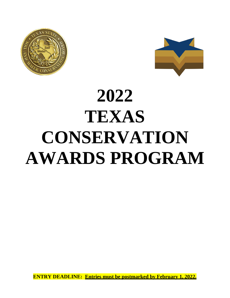



# **2022 TEXAS CONSERVATION AWARDS PROGRAM**

**ENTRY DEADLINE: Entries must be postmarked by February 1, 2022.**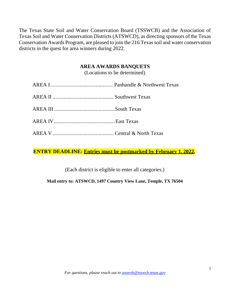The Texas State Soil and Water Conservation Board (TSSWCB) and the Association of Texas Soil and Water Conservation Districts (ATSWCD), as directing sponsors of the Texas Conservation Awards Program, are pleased to join the 216 Texas soil and water conservation districts in the quest for area winners during 2022.

### **AREA AWARDS BANQUETS**

(Locations to be determined)

**ENTRY DEADLINE: Entries must be postmarked by February 1, 2022.**

(Each district is eligible to enter all categories.)

**Mail entry to: ATSWCD, 1497 Country View Lane, Temple, TX 76504**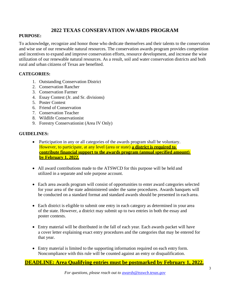### **2022 TEXAS CONSERVATION AWARDS PROGRAM**

#### **PURPOSE:**

To acknowledge, recognize and honor those who dedicate themselves and their talents to the conservation and wise use of our renewable natural resources. The conservation awards program provides competition and incentives to expand and improve conservation efforts, resource development, and increase the wise utilization of our renewable natural resources. As a result, soil and water conservation districts and both rural and urban citizens of Texas are benefited.

#### **CATEGORIES:**

- 1. Outstanding Conservation District
- 2. Conservation Rancher
- 3. Conservation Farmer
- 4. Essay Contest (Jr. and Sr. divisions)
- 5. Poster Contest
- 6. Friend of Conservation
- 7. Conservation Teacher
- 8. Wildlife Conservationist
- 9. Forestry Conservationist (Area IV Only)

#### **GUIDELINES:**

- Participation in any or all categories of the awards program shall be voluntary. However, to participate, at any level (area or state) **a district is required to contribute financial support to the awards program (annual specified amount) by February 1, 2022.**
- All award contributions made to the ATSWCD for this purpose will be held and utilized in a separate and sole purpose account.
- Each area awards program will consist of opportunities to enter award categories selected for your area of the state administered under the same procedures. Awards banquets will be conducted on a standard format and standard awards should be presented in each area.
- Each district is eligible to submit one entry in each category as determined in your area of the state. However, a district may submit up to two entries in both the essay and poster contests.
- Entry material will be distributed in the fall of each year. Each awards packet will have a cover letter explaining exact entry procedures and the categories that may be entered for that year.
- Entry material is limited to the supporting information required on each entry form. Noncompliance with this rule will be counted against an entry or disqualification.

### **DEADLINE: Area Qualifying entries must be postmarked by February 1, 2022.**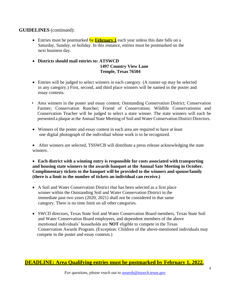#### **GUIDELINES** (continued):

- Entries must be postmarked by **February 1** each year unless this date falls on a Saturday, Sunday, or holiday. In this instance, entries must be postmarked on the next business day.
- **Districts should mail entries to: ATSWCD 1497 Country View Lane Temple, Texas 76504**
- Entries will be judged to select winners in each category. (A runner-up may be selected in any category.) First, second, and third place winners will be named in the poster and essay contests.
- Area winners in the poster and essay contest; Outstanding Conservation District; Conservation Farmer; Conservation Rancher; Friend of Conservation; Wildlife Conservationist and Conservation Teacher will be judged to select a state winner. The state winners will each be presented a plaque at the Annual State Meeting of Soil and Water Conservation District Directors.
- Winners of the poster and essay contest in each area are required to have at least one digital photograph of the individual whose work is to be recognized.

• After winners are selected, TSSWCB will distribute a press release acknowledging the state winners.

• **Each district with a winning entry is responsible for costs associated with transporting and housing state winners to the awards banquet at the Annual Sate Meeting in October. Complimentary tickets to the banquet will be provided to the winners and spouse/family (there is a limit to the number of tickets an individual can receive.)**

- A Soil and Water Conservation District that has been selected as a first place winner within the Outstanding Soil and Water Conservation District in the immediate past two years (2020, 2021) shall not be considered in that same category. There is no time limit on all other categories.
- SWCD directors, Texas State Soil and Water Conservation Board members, Texas State Soil and Water Conservation Board employees, and dependent members of the above mentioned individuals' households are **NOT** eligible to compete in the Texas Conservation Awards Program. (Exception: Children of the above-mentioned individuals may compete in the poster and essay contests.)

#### **DEADLINE: Area Qualifying entries must be postmarked by February 1, 2022.**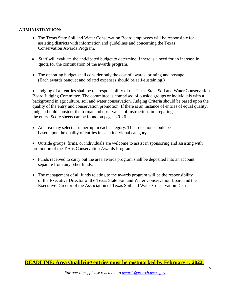#### **ADMINISTRATION:**

- The Texas State Soil and Water Conservation Board employees will be responsible for assisting districts with information and guidelines and concerning the Texas Conservation Awards Program.
- Staff will evaluate the anticipated budget to determine if there is a need for an increase in quota for the continuation of the awards program.
- The operating budget shall consider only the cost of awards, printing and postage. (Each awards banquet and related expenses should be self-sustaining.)

• Judging of all entries shall be the responsibility of the Texas State Soil and Water Conservation Board Judging Committee. The committee is comprised of outside groups or individuals with a background in agriculture, soil and water conservation. Judging Criteria should be based upon the quality of the entry and conservation promotion. If there is an instance of entries of equal quality, judges should consider the format and observance of instructions in preparing the entry. Score sheets can be found on pages 20-26.

• An area may select a runner-up in each category. This selection should be based upon the quality of entries in each individual category.

• Outside groups, firms, or individuals are welcome to assist in sponsoring and assisting with promotion of the Texas Conservation Awards Program.

- Funds received to carry out the area awards program shall be deposited into an account separate from any other funds.
- The management of all funds relating to the awards program will be the responsibility of the Executive Director of the Texas State Soil and Water Conservation Board and the Executive Director of the Association of Texas Soil and Water Conservation Districts.

### **DEADLINE: Area Qualifying entries must be postmarked by February 1, 2022.**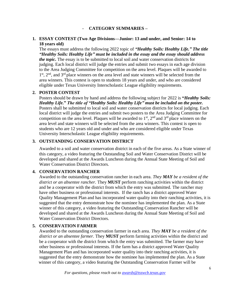#### - **CATEGORY SUMMARIES –**

#### **1. ESSAY CONTEST (Two Age Divisions—Junior: 13 and under, and Senior: 14 to 18 years old)**

The essays must address the following 2022 topic of *"Healthy Soils: Healthy Life." The title "Healthy Soils: Healthy Life" must be included in the essay and the essay should address the topic.* The essay is to be submitted to local soil and water conservation districts for judging. Each local district will judge the entries and submit two essays in each age division to the Area Judging Committee for competition on the area level. Plaques will be awarded to 1<sup>st</sup>, 2<sup>nd</sup>, and 3<sup>rd</sup> place winners on the area level and state winners will be selected from the area winners. This contest is open to students 18 years and under, and who are considered eligible under Texas University Interscholastic League eligibility requirements.

#### **2. POSTER CONTEST**

Posters should be drawn by hand and address the following subject for 2022 is **"***Healthy Soils: Healthy Life.***"** *The title of "Healthy Soils: Healthy Life" must be included on the poster.* Posters shall be submitted to local soil and water conservation districts for local judging. Each local district will judge the entries and submit two posters to the Area Judging Committee for competition on the area level. Plaques will be awarded to  $1<sup>st</sup>$ ,  $2<sup>nd</sup>$  and  $3<sup>rd</sup>$  place winners on the area level and state winners will be selected from the area winners. This contest is open to students who are 12 years old and under and who are considered eligible under Texas University Interscholastic League eligibility requirements.

#### **3. OUTSTANDING CONSERVATION DISTRICT**

Awarded to a soil and water conservation district in each of the five areas. As a State winner of this category, a video featuring the Outstanding Soil and Water Conservation District will be developed and shared at the Awards Luncheon during the Annual State Meeting of Soil and Water Conservation District Directors.

#### **4. CONSERVATION RANCHER**

Awarded to the outstanding conservation rancher in each area. *They MAY be a resident of the district or an absentee rancher.* They **MUST** perform ranching activities within the district and be a cooperator with the district from which the entry was submitted. The rancher may have other business or professional interests. If the ranch has a district approved Water Quality Management Plan and has incorporated water quality into their ranching activities, it is suggested that the entry demonstrate how the nominee has implemented the plan. As a State winner of this category, a video featuring the Outstanding Conservation Rancher will be developed and shared at the Awards Luncheon during the Annual State Meeting of Soil and Water Conservation District Directors.

#### **5. CONSERVATION FARMER**

Awarded to the outstanding conservation farmer in each area. *They MAY be a resident of the district or an absentee farmer.* They **MUST** perform farming activities within the district and be a cooperator with the district from which the entry was submitted. The farmer may have other business or professional interests. If the farm has a district approved Water Quality Management Plan and has incorporated water quality into their ranching activities, it is suggested that the entry demonstrate how the nominee has implemented the plan. As a State winner of this category, a video featuring the Outstanding Conservation Farmer will be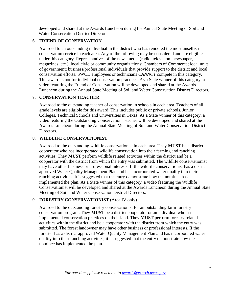developed and shared at the Awards Luncheon during the Annual State Meeting of Soil and Water Conservation District Directors.

#### **6. FRIEND OF CONSERVATION**

Awarded to an outstanding individual in the district who has rendered the most unselfish conservation service in each area. Any of the following may be considered and are eligible under this category. Representatives of the news media (radio, television, newspaper, magazines, etc.); local civic or community organizations; Chambers of Commerce; local units of government; business/professional individuals that provide support to the district and local conservation efforts. SWCD employees or technicians *CANNOT* compete in this category. This award is not for individual conservation practices. As a State winner of this category, a video featuring the Friend of Conservation will be developed and shared at the Awards Luncheon during the Annual State Meeting of Soil and Water Conservation District Directors.

#### **7. CONSERVATION TEACHER**

Awarded to the outstanding teacher of conservation in schools in each area. Teachers of all grade levels are eligible for this award. This includes public or private schools, Junior Colleges, Technical Schools and Universities in Texas. As a State winner of this category, a video featuring the Outstanding Conservation Teacher will be developed and shared at the Awards Luncheon during the Annual State Meeting of Soil and Water Conservation District Directors.

#### **8. WILDLIFE CONSERVATIONIST**

Awarded to the outstanding wildlife conservationist in each area. They **MUST** be a district cooperator who has incorporated wildlife conservation into their farming and ranching activities. They **MUST** perform wildlife related activities within the district and be a cooperator with the district from which the entry was submitted. The wildlife conservationist may have other business or professional interests. If the wildlife conservationist has a district approved Water Quality Management Plan and has incorporated water quality into their ranching activities, it is suggested that the entry demonstrate how the nominee has implemented the plan. As a State winner of this category, a video featuring the Wildlife Conservationist will be developed and shared at the Awards Luncheon during the Annual State Meeting of Soil and Water Conservation District Directors.

#### **9. FORESTRY CONSERVATIONIST** (Area IV only)

Awarded to the outstanding forestry conservationist for an outstanding farm forestry conservation program. They **MUST** be a district cooperator or an individual who has implemented conservation practices on their land. They **MUST** perform forestry related activities within the district and be a cooperator with the district from which the entry was submitted. The forest landowner may have other business or professional interests. If the forester has a district approved Water Quality Management Plan and has incorporated water quality into their ranching activities, it is suggested that the entry demonstrate how the nominee has implemented the plan.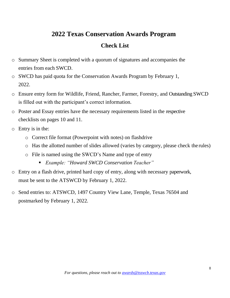# **2022 Texas Conservation Awards Program**

# **Check List**

- o Summary Sheet is completed with a quorum of signatures and accompanies the entries from each SWCD.
- o SWCD has paid quota for the Conservation Awards Program by February 1, 2022.
- o Ensure entry form for Wildlife, Friend, Rancher, Farmer, Forestry, and Outstanding SWCD is filled out with the participant's correct information.
- o Poster and Essay entries have the necessary requirements listed in the respective checklists on pages 10 and 11.
- o Entry is in the:
	- o Correct file format (Powerpoint with notes) on flashdrive
	- o Has the allotted number of slides allowed (varies by category, please check the rules)
	- o File is named using the SWCD's Name and type of entry
		- *Example: "Howard SWCD Conservation Teacher"*
- o Entry on a flash drive, printed hard copy of entry, along with necessary paperwork, must be sent to the ATSWCD by February 1, 2022.
- o Send entries to: ATSWCD, 1497 Country View Lane, Temple, Texas 76504 and postmarked by February 1, 2022.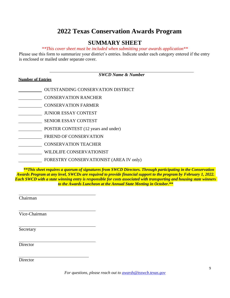# **2022 Texas Conservation Awards Program**

# **SUMMARY SHEET**

#### *\*\*This cover sheet must be included when submitting your awards application\*\**

Please use this form to summarize your district's entries. Indicate under each category entered if the entry is enclosed or mailed under separate cover.

| <b>Number of Entries</b> | <b>SWCD Name &amp; Number</b>            |
|--------------------------|------------------------------------------|
|                          | <b>OUTSTANDING CONSERVATION DISTRICT</b> |
|                          | <b>CONSERVATION RANCHER</b>              |
|                          | <b>CONSERVATION FARMER</b>               |
|                          | <b>JUNIOR ESSAY CONTEST</b>              |
|                          | <b>SENIOR ESSAY CONTEST</b>              |
|                          | POSTER CONTEST (12 years and under)      |
|                          | <b>FRIEND OF CONSERVATION</b>            |
|                          | <b>CONSERVATION TEACHER</b>              |
|                          | WILDLIFE CONSERVATIONIST                 |
|                          | FORESTRY CONSERVATIONIST (AREA IV only)  |

*\*\*This sheet requires a quorum of signatures from SWCD Directors. Through participating in the Conservation Awards Program at any level, SWCDs are required to provide financial support to the program by February 1, 2022. Each SWCD with a state winning entry is responsible for costs associated with transporting and housing state winners to the Awards Luncheon at the Annual State Meeting in October***.\*\***

Chairman

Vice-Chairman

Secretary

**Director** 

**Director**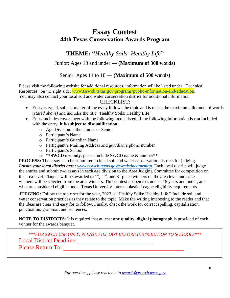# **Essay Contest 44th Texas Conservation Awards Program**

**THEME: "***Healthy Soils: Healthy Life***"**

Junior: Ages 13 and under **— (Maximum of 300 words)**

Senior: Ages 14 to 18 **— (Maximum of 500 words)**

Please visit the following website for additional resources, information will be listed under "Technical Resources" on the right side: [www.tsswcb.texas.gov/programs/public-information-and-education.](www.tsswcb.texas.gov/programs/public-information-and-education)

You may also contact your local soil and water conservation district for additional information.

### CHECKLIST:

- Entry is typed, subject matter of the essay follows the topic and is meets the maximum allotment of words *(stated above)* and includes the title "Healthy Soils: Healthy Life."
- Entry includes cover sheet with the following items listed, if the following information is **not** included with the entry, **it is subject to disqualification**:
	- o Age Division: either Junior or Senior
	- o Participant's Name
	- o Participant's Guardian Name
	- o Participant's Mailing Address and guardian's phone number
	- o Participant's School
	- o \*\***SWCD use only**: please include SWCD name & number\*\*

**PROCESS:** The essay is to be submitted to local soil and water conservation districts for judging. *Locate your local district here: [www.tsswcb.texas.gov/swcds/locatormap](http://www.tsswcb.texas.gov/swcds/locatormap)*. Each local district will judge the entries and submit two essays in each age division to the Area Judging Committee for competition on the area level. Plaques will be awarded to  $1<sup>st</sup>$ ,  $2<sup>nd</sup>$ , and  $3<sup>rd</sup>$  place winners on the area level and state winners will be selected from the area winners. This contest is open to students 18 years and under, and who are considered eligible under Texas University Interscholastic League eligibility requirements.

**JUDGING:** Follow the topic set for the year, 2022 is "Healthy Soils: Healthy Life." Include soil and water conservation practices as they relate to the topic. Make the writing interesting to the reader and that the ideas are clear and easy for to follow. Finally, check the work for correct spelling, capitalization, punctuation, grammar, and sentences.

**NOTE TO DISTRICTS**: It is required that at least **one quality, digital photograph** is provided of each winner for the awards banquet.

*\*\*\*FOR SWCD USE ONLY, PLEASE FILL OUT BEFORE DISTRIBUTION TO SCHOOLS\*\*\** Local District Deadline: Please Return To: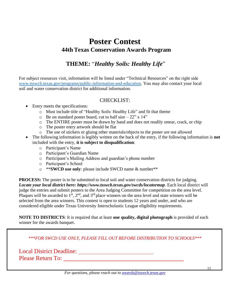# **Poster Contest 44th Texas Conservation Awards Program**

# **THEME:** "*Healthy Soils: Healthy Life*"

For subject resources visit, information will be listed under "Technical Resources" on the right side [www.tsswcb.texas.gov/programs/public-information-and-education.](http://www.tsswcb.texas.gov/programs/public-information-and-education) You may also contact your local soil and water conservation district for additional information.

#### CHECKLIST:

- Entry meets the specifications:
	- o Must include title of "Healthy Soils: Healthy Life" and fit that theme
	- $\circ$  Be on standard poster board, cut to half size 22" x 14"
	- o The ENTIRE poster must be drawn by hand and does not readily smear, crack, or chip
	- o The poster entry artwork should be flat
	- o The use of stickers or gluing other materials/objects to the poster are not allowed
- The following information is legibly written on the back of the entry, if the following information is **not** included with the entry, **it is subject to disqualification**:
	- o Participant's Name
	- o Participant's Guardian Name
	- o Participant's Mailing Address and guardian's phone number
	- o Participant's School
	- o \*\***SWCD use only**: please include SWCD name & number\*\*

**PROCESS:** The poster is to be submitted to local soil and water conservation districts for judging. *Locate your local district here:<https://www.tsswcb.texas.gov/swcds/locatormap>*. Each local district will judge the entries and submit posters to the Area Judging Committee for competition on the area level. Plaques will be awarded to  $1<sup>st</sup>$ ,  $2<sup>nd</sup>$ , and  $3<sup>rd</sup>$  place winners on the area level and state winners will be selected from the area winners. This contest is open to students 12 years and under, and who are considered eligible under Texas University Interscholastic League eligibility requirements.

**NOTE TO DISTRICTS**: It is required that at least **one quality, digital photograph** is provided of each winner for the awards banquet.

*\*\*\*FOR SWCD USE ONLY, PLEASE FILL OUT BEFORE DISTRIBUTION TO SCHOOLS\*\*\**

Local District Deadline: Please Return To:

11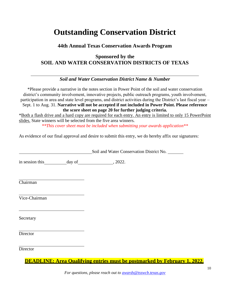# **Outstanding Conservation District**

### **44th Annual Texas Conservation Awards Program**

# **Sponsored by the SOIL AND WATER CONSERVATION DISTRICTS OF TEXAS**

### *Soil and Water Conservation District Name & Number*

\*Please provide a narrative in the notes section in Power Point of the soil and water conservation district's community involvement, innovative projects, public outreach programs, youth involvement, participation in area and state level programs, and district activities during the District's last fiscal year – Sept. 1 to Aug. 31. **Narrative will not be accepted if not included in Power Point. Please reference the score sheet on page 20 for further judging criteria.**

\*Both a flash drive and a hard copy are required for each entry. An entry is limited to only 15 PowerPoint slides. State winners will be selected from the five area winners. *\*\*This cover sheet must be included when submitting your awards application\*\**

As evidence of our final approval and desire to submit this entry, we do hereby affix our signatures:

Soil and Water Conservation District No.

in session this day of , 2022.

Chairman

Vice-Chairman

Secretary

**Director** 

**Director** 

**DEADLINE: Area Qualifying entries must be postmarked by February 1, 2022.**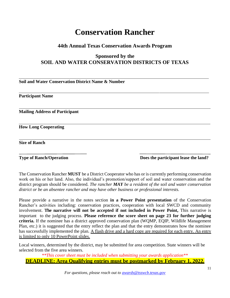# **Conservation Rancher**

### **44th Annual Texas Conservation Awards Program**

## **Sponsored by the SOIL AND WATER CONSERVATION DISTRICTS OF TEXAS**

**Soil and Water Conservation District Name & Number** 

**Participant Name**

**Mailing Address of Participant** 

**How Long Cooperating**

**Size of Ranch**

**Type of Ranch/Operation Does the participant lease the land?** 

The Conservation Rancher **MUST** be a District Cooperator who has or is currently performing conservation work on his or her land. Also, the individual's promotion/support of soil and water conservation and the district program should be considered. *The rancher MAY be a resident of the soil and water conservation district or be an absentee rancher and may have other business or professional interests.*

Please provide a narrative in the notes section **in a Power Point presentation** of the Conservation Rancher's activities including: conservation practices, cooperation with local SWCD and community involvement. **The narrative will not be accepted if not included in Power Point,** This narrative is important to the judging process. **Please reference the score sheet on page 23 for further judging criteria.** If the nominee has a district approved conservation plan (WQMP, EQIP, Wildlife Management Plan, etc.) it is suggested that the entry reflect the plan and that the entry demonstrates how the nominee has successfully implemented the plan. A flash drive and a hard copy are required for each entry. An entry is limited to only 10 PowerPoint slides.

Local winners, determined by the district, may be submitted for area competition. State winners will be selected from the five area winners.

*\*\*This cover sheet must be included when submitting your awards application\*\** **DEADLINE: Area Qualifying entries must be postmarked by February 1, 2022.**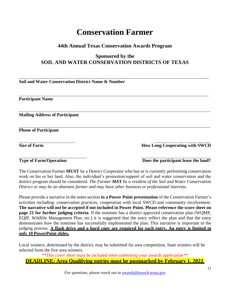# **Conservation Farmer**

### **44th Annual Texas Conservation Awards Program**

# **Sponsored by the SOIL AND WATER CONSERVATION DISTRICTS OF TEXAS**

**Soil and Water Conservation District Name & Number**

**Participant Name**

**Mailing Address of Participant** 

**Phone of Participant**

**Size of Farm How Long Cooperating with SWCD** 

**Type of Farm/Operation** Does the participant lease the land?

The Conservation Farmer **MUST** be a District Cooperator who has or is currently performing conservation work on his or her land. Also, the individual's promotion/support of soil and water conservation and the district program should be considered. *The Farmer MAY be a resident of the Soil and Water Conservation District or may be an absentee farmer and may have other business or professional interests.*

Please provide a narrative in the notessection **in a Power Point presentation** of the Conservation Farmer's activities including: conservation practices, cooperation with local SWCD and community involvement. **The narrative will not be accepted if not included in Power Point. Please reference the score sheet on page 21 for further judging criteria.** If the nominee has a district approved conservation plan (WQMP, EQIP, Wildlife Management Plan, etc.) it is suggested that the entry reflect the plan and that the entry demonstrates how the nominee has successfully implemented the plan. This narrative is important to the judging process. **A flash drive and a hard copy are required for each entry. An entry is limited to only 10 PowerPoint slides.**

Local winners, determined by the district, may be submitted for area competition. State winners will be selected from the five area winners.

*\*\*This cover sheet must be included when submitting your awards application\*\** **DEADLINE: Area Qualifying entries must be postmarked by February 1, 2022.**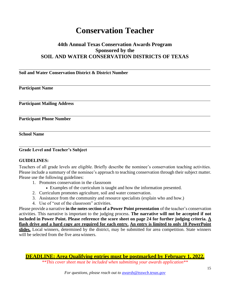# **Conservation Teacher**

### **44th Annual Texas Conservation Awards Program Sponsored by the SOIL AND WATER CONSERVATION DISTRICTS OF TEXAS**

#### **Soil and Water Conservation District & District Number**

#### **Participant Name**

**Participant Mailing Address** 

**Participant Phone Number** 

**School Name**

**Grade Level and Teacher's Subject**

#### **GUIDELINES:**

Teachers of all grade levels are eligible. Briefly describe the nominee's conservation teaching activities. Please include a summary of the nominee's approach to teaching conservation through their subject matter. Please use the following guidelines:

- 1. Promotes conservation in the classroom
	- Examples of the curriculum is taught and how the information presented.
- 2. Curriculum promotes agriculture, soil and water conservation.
- 3. Assistance from the community and resource specialists (explain who and how.)
- 4. Use of "out of the classroom" activities.

Please provide a narrative **in the notes section of a Power Point presentation** of the teacher's conservation activities. This narrative is important to the judging process. **The narrative will not be accepted if not included in Power Point. Please reference the score sheet on page 24 for further judging criteria. A flash drive and a hard copy are required for each entry. An entry is limited to only 10 PowerPoint**  slides. Local winners, determined by the district, may be submitted for area competition. State winners will be selected from the five area winners.

**DEADLINE: Area Qualifying entries must be postmarked by February 1, 2022.**

*\*\*This cover sheet must be included when submitting your awards application\*\**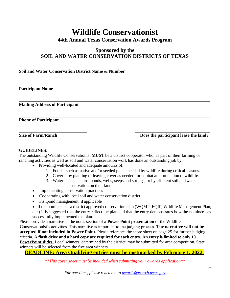# **Wildlife Conservationist**

### **44th Annual Texas Conservation Awards Program**

### **Sponsored by the SOIL AND WATER CONSERVATION DISTRICTS OF TEXAS**

#### **Soil and Water Conservation District Name & Number**

#### **Participant Name**

**Mailing Address of Participant** 

**Phone of Participant**

**Size of Farm/Ranch Does the participant lease the land?** 

#### **GUIDELINES:**

The outstanding Wildlife Conservationist **MUST** be a district cooperator who, as part of their farming or ranching activities as well as soil and water conservation work has done an outstanding job by:

- Providing well-located and adequate amounts of:
	- 1. Food such as native and/or seeded plants needed by wildlife during criticalseasons.
	- 2. Cover by planting or leaving cover as needed for habitat and protection of wildlife.
	- 3. Water such as farm ponds, wells, seeps and springs, or by efficient soil and water conservation on their land.
- Implementing conservation practices
- Cooperating with local soil and water conservation district
- Fishpond management, if applicable

• If the nominee has a district approved conservation plan (WQMP, EQIP, Wildlife Management Plan, etc.) it is suggested that the entry reflect the plan and that the entry demonstrates how the nominee has successfully implemented the plan.

Please provide a narrative in the notes section of **a Power Point presentation** of the Wildlife Conservationist's activities. This narrative is important to the judging process. **The narrative will not be accepted if not included in Power Point.** Please reference the score sheet on page 25 for further judging criteria. **A flash drive and a hard copy are required for each entry. An entry is limited to only 10**  PowerPoint slides. Local winners, determined by the district, may be submitted for area competition. State winners will be selected from the five area winners.

**DEADLINE: Area Qualifying entries must be postmarked by February 1, 2022.**

*\*\*This cover sheet must be included when submitting your awards application\*\**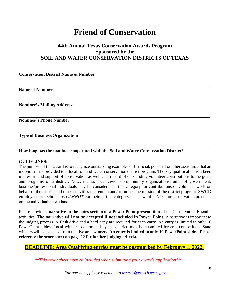# **Friend of Conservation**

### **44th Annual Texas Conservation Awards Program Sponsored by the SOIL AND WATER CONSERVATION DISTRICTS OF TEXAS**

**Conservation District Name & Number** 

**Name of Nominee**

**Nominee's Mailing Address** 

**Nominee's Phone Number** 

**Type of Business/Organization**

#### **How long has the nominee cooperated with the Soil and Water Conservation District?**

#### **GUIDELINES:**

The purpose of this award is to recognize outstanding examples of financial, personal or other assistance that an individual has provided to a local soil and water conservation district program. The key qualification is a keen interest in and support of conservation as well as a record of outstanding volunteer contributions to the goals and programs of a district. News media; local civic or community organizations; units of government; business/professional individuals may be considered in this category for contributions of volunteer work on behalf of the district and other activities that enrich and/or further the mission of the district program. SWCD employees or technicians *CANNOT* compete in this category. This award is NOT for conservation practices on the individual's own land.

Please provide a **narrative in the notes section of a Power Point presentation** of the Conservation Friend's activities. **The narrative will not be accepted if not included in Power Point.** A narrative is important to the judging process. A flash drive and a hard copy are required for each entry. An entry is limited to only 10 PowerPoint slides. Local winners, determined by the district, may be submitted for area competition. State winners will be selected from the five area winners. **An entry is limited to only 10 PowerPoint slides. Please reference the score sheet on page 22 for further judging criteria.**

#### **DEADLINE: Area Qualifying entries must be postmarked by February 1, 2022.**

*\*\*This cover sheet must be included when submitting your awards application\*\**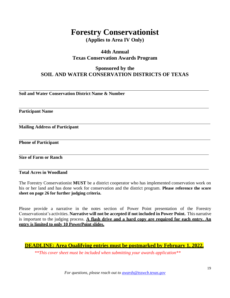# **Forestry Conservationist**

**(Applies to Area IV Only)**

### **44th Annual Texas Conservation Awards Program**

## **Sponsored by the SOIL AND WATER CONSERVATION DISTRICTS OF TEXAS**

**Soil and Water Conservation District Name & Number**

**Participant Name**

**Mailing Address of Participant** 

**Phone of Participant**

**Size of Farm or Ranch**

**Total Acres in Woodland**

The Forestry Conservationist **MUST** be a district cooperator who has implemented conservation work on his or her land and has done work for conservation and the district program. **Please reference the score sheet on page 26 for further judging criteria.**

Please provide a narrative in the notes section of Power Point presentation of the Forestry Conservationist's activities. **Narrative will not be accepted if not included in Power Point.** This narrative is important to the judging process. **A flash drive and a hard copy are required for each entry. An entry is limited to only 10 PowerPoint slides.**

#### **DEADLINE: Area Qualifying entries must be postmarked by February 1, 2022.**

*\*\*This cover sheet must be included when submitting your awards application\*\**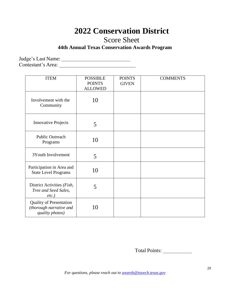# **2022 Conservation District**

Score Sheet

# **44th Annual Texas Conservation Awards Program**

Judge's Last Name:

Contestant's Area:

| <b>ITEM</b>                                                                  | <b>POSSIBLE</b><br><b>POINTS</b><br><b>ALLOWED</b> | <b>POINTS</b><br><b>GIVEN</b> | <b>COMMENTS</b> |
|------------------------------------------------------------------------------|----------------------------------------------------|-------------------------------|-----------------|
| Involvement with the<br>Community                                            | 10                                                 |                               |                 |
| <b>Innovative Projects</b>                                                   | 5                                                  |                               |                 |
| Public Outreach<br>Programs                                                  | 10                                                 |                               |                 |
| 3Youth Involvement                                                           | 5                                                  |                               |                 |
| Participation in Area and<br><b>State Level Programs</b>                     | 10                                                 |                               |                 |
| District Activities (Fish,<br>Tree and Seed Sales,<br>$etc.$ )               | 5                                                  |                               |                 |
| <b>Quality of Presentation</b><br>(thorough narrative and<br>quality photos) | 10                                                 |                               |                 |

Total Points: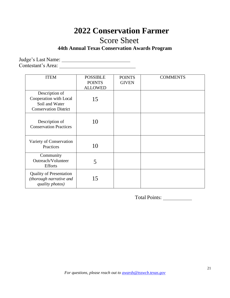# **2022 Conservation Farmer**

# Score Sheet

# **44th Annual Texas Conservation Awards Program**

Judge's Last Name: Contestant's Area:

| <b>ITEM</b>                                                                                | <b>POSSIBLE</b><br><b>POINTS</b><br><b>ALLOWED</b> | <b>POINTS</b><br><b>GIVEN</b> | <b>COMMENTS</b> |
|--------------------------------------------------------------------------------------------|----------------------------------------------------|-------------------------------|-----------------|
| Description of<br>Cooperation with Local<br>Soil and Water<br><b>Conservation District</b> | 15                                                 |                               |                 |
| Description of<br><b>Conservation Practices</b>                                            | 10                                                 |                               |                 |
| Variety of Conservation<br>Practices                                                       | 10                                                 |                               |                 |
| Community<br>Outreach/Volunteer<br><b>Efforts</b>                                          | 5                                                  |                               |                 |
| <b>Quality of Presentation</b><br>(thorough narrative and<br>quality photos)               | 15                                                 |                               |                 |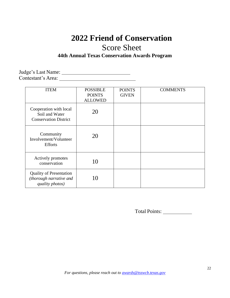# **2022 Friend of Conservation** Score Sheet

# **44th Annual Texas Conservation Awards Program**

Judge's Last Name: Contestant's Area:

| <b>ITEM</b>                                                                  | <b>POSSIBLE</b><br><b>POINTS</b><br><b>ALLOWED</b> | <b>POINTS</b><br><b>GIVEN</b> | <b>COMMENTS</b> |
|------------------------------------------------------------------------------|----------------------------------------------------|-------------------------------|-----------------|
| Cooperation with local<br>Soil and Water<br><b>Conservation District</b>     | 20                                                 |                               |                 |
| Community<br>Involvement/Volunteer<br><b>Efforts</b>                         | 20                                                 |                               |                 |
| Actively promotes<br>conservation                                            | 10                                                 |                               |                 |
| <b>Quality of Presentation</b><br>(thorough narrative and<br>quality photos) | 10                                                 |                               |                 |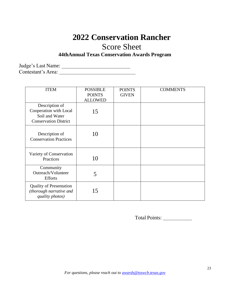# **2022 Conservation Rancher**

# Score Sheet

# **44thAnnual Texas Conservation Awards Program**

Judge's Last Name: Contestant's Area:

| <b>ITEM</b>                                                                                | <b>POSSIBLE</b><br><b>POINTS</b><br><b>ALLOWED</b> | <b>POINTS</b><br><b>GIVEN</b> | <b>COMMENTS</b> |
|--------------------------------------------------------------------------------------------|----------------------------------------------------|-------------------------------|-----------------|
| Description of<br>Cooperation with Local<br>Soil and Water<br><b>Conservation District</b> | 15                                                 |                               |                 |
| Description of<br><b>Conservation Practices</b>                                            | 10                                                 |                               |                 |
| Variety of Conservation<br>Practices                                                       | 10                                                 |                               |                 |
| Community<br>Outreach/Volunteer<br><b>Efforts</b>                                          | 5                                                  |                               |                 |
| <b>Quality of Presentation</b><br>(thorough narrative and<br>quality photos)               | 15                                                 |                               |                 |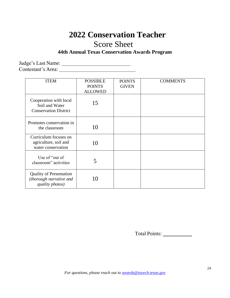# **2022 Conservation Teacher** Score Sheet

### **44th Annual Texas Conservation Awards Program**

Judge's Last Name:

Contestant's Area:

| <b>ITEM</b>                                                                  | <b>POSSIBLE</b><br><b>POINTS</b><br><b>ALLOWED</b> | <b>POINTS</b><br><b>GIVEN</b> | <b>COMMENTS</b> |
|------------------------------------------------------------------------------|----------------------------------------------------|-------------------------------|-----------------|
| Cooperation with local<br>Soil and Water<br><b>Conservation District</b>     | 15                                                 |                               |                 |
| Promotes conservation in<br>the classroom                                    | 10                                                 |                               |                 |
| Curriculum focuses on<br>agriculture, soil and<br>water conservation         | 10                                                 |                               |                 |
| Use of "out of"<br>classroom" activities                                     | 5                                                  |                               |                 |
| <b>Quality of Presentation</b><br>(thorough narrative and<br>quality photos) | 10                                                 |                               |                 |

Total Points: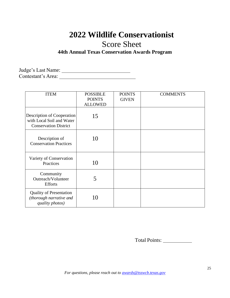# **2022 Wildlife Conservationist**

Score Sheet

# **44th Annual Texas Conservation Awards Program**

Judge's Last Name: Contestant's Area:

| <b>ITEM</b>                                                                             | <b>POSSIBLE</b><br><b>POINTS</b><br><b>ALLOWED</b> | <b>POINTS</b><br><b>GIVEN</b> | <b>COMMENTS</b> |
|-----------------------------------------------------------------------------------------|----------------------------------------------------|-------------------------------|-----------------|
| Description of Cooperation<br>with Local Soil and Water<br><b>Conservation District</b> | 15                                                 |                               |                 |
| Description of<br><b>Conservation Practices</b>                                         | 10                                                 |                               |                 |
| Variety of Conservation<br>Practices                                                    | 10                                                 |                               |                 |
| Community<br>Outreach/Volunteer<br><b>Efforts</b>                                       | 5                                                  |                               |                 |
| <b>Quality of Presentation</b><br>(thorough narrative and<br>quality photos)            | 10                                                 |                               |                 |

Total Points: